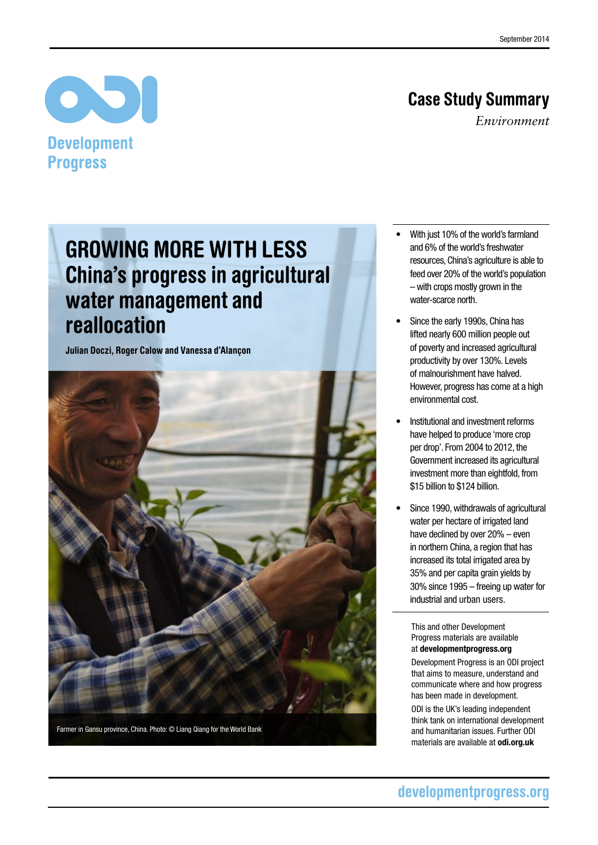## Case Study Summary

*Environment*

## **Development Progress**

 $\bullet$ 

# Growing more with less China's progress in agricultural water management and reallocation

Julian Doczi, Roger Calow and Vanessa d'Alançon



- With just 10% of the world's farmland and 6% of the world's freshwater resources, China's agriculture is able to feed over 20% of the world's population – with crops mostly grown in the water-scarce north.
- Since the early 1990s, China has lifted nearly 600 million people out of poverty and increased agricultural productivity by over 130%. Levels of malnourishment have halved. However, progress has come at a high environmental cost.
- Institutional and investment reforms have helped to produce 'more crop per drop'. From 2004 to 2012, the Government increased its agricultural investment more than eightfold, from \$15 billion to \$124 billion.
- Since 1990, withdrawals of agricultural water per hectare of irrigated land have declined by over 20% – even in northern China, a region that has increased its total irrigated area by 35% and per capita grain yields by 30% since 1995 – freeing up water for industrial and urban users.

This and other Development Progress materials are available at<developmentprogress.org>

Development Progress is an ODI project that aims to measure, understand and communicate where and how progress has been made in development.

ODI is the UK's leading independent think tank on international development and humanitarian issues. Further ODI materials are available at <odi.org.uk>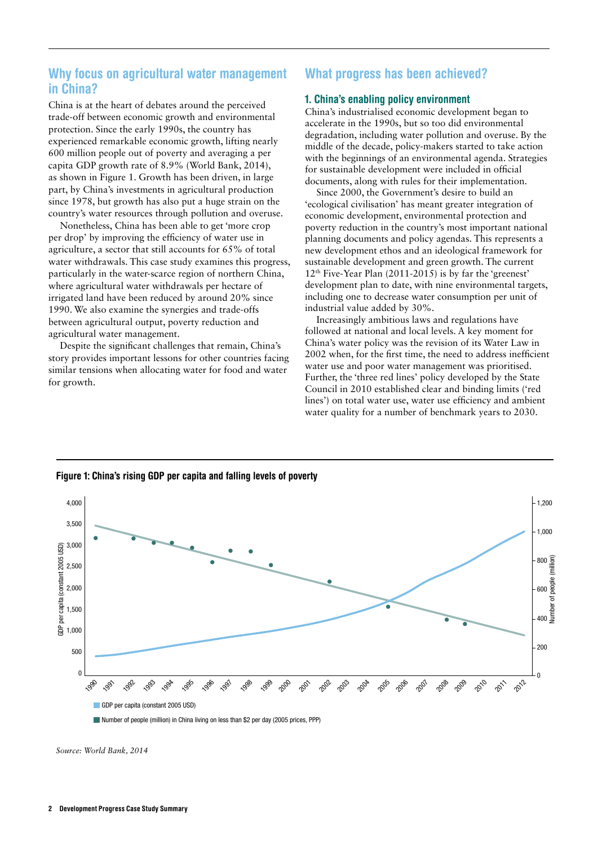## Why focus on agricultural water management in China?

China is at the heart of debates around the perceived trade-off between economic growth and environmental protection. Since the early 1990s, the country has experienced remarkable economic growth, lifting nearly 600 million people out of poverty and averaging a per capita GDP growth rate of 8.9% (World Bank, 2014), as shown in Figure 1. Growth has been driven, in large part, by China's investments in agricultural production since 1978, but growth has also put a huge strain on the country's water resources through pollution and overuse.

Nonetheless, China has been able to get 'more crop per drop' by improving the efficiency of water use in agriculture, a sector that still accounts for 65% of total water withdrawals. This case study examines this progress, particularly in the water-scarce region of northern China, where agricultural water withdrawals per hectare of irrigated land have been reduced by around 20% since 1990. We also examine the synergies and trade-offs between agricultural output, poverty reduction and agricultural water management.

Despite the significant challenges that remain, China's story provides important lessons for other countries facing similar tensions when allocating water for food and water for growth.

## What progress has been achieved?

#### 1. China's enabling policy environment

China's industrialised economic development began to accelerate in the 1990s, but so too did environmental degradation, including water pollution and overuse. By the middle of the decade, policy-makers started to take action with the beginnings of an environmental agenda. Strategies for sustainable development were included in official documents, along with rules for their implementation.

Since 2000, the Government's desire to build an 'ecological civilisation' has meant greater integration of economic development, environmental protection and poverty reduction in the country's most important national planning documents and policy agendas. This represents a new development ethos and an ideological framework for sustainable development and green growth. The current 12th Five-Year Plan (2011-2015) is by far the 'greenest' development plan to date, with nine environmental targets, including one to decrease water consumption per unit of industrial value added by 30%.

Increasingly ambitious laws and regulations have followed at national and local levels. A key moment for China's water policy was the revision of its Water Law in 2002 when, for the first time, the need to address inefficient water use and poor water management was prioritised. Further, the 'three red lines' policy developed by the State Council in 2010 established clear and binding limits ('red lines') on total water use, water use efficiency and ambient water quality for a number of benchmark years to 2030.



Figure 1: China's rising GDP per capita and falling levels of poverty

*Source: World Bank, 2014*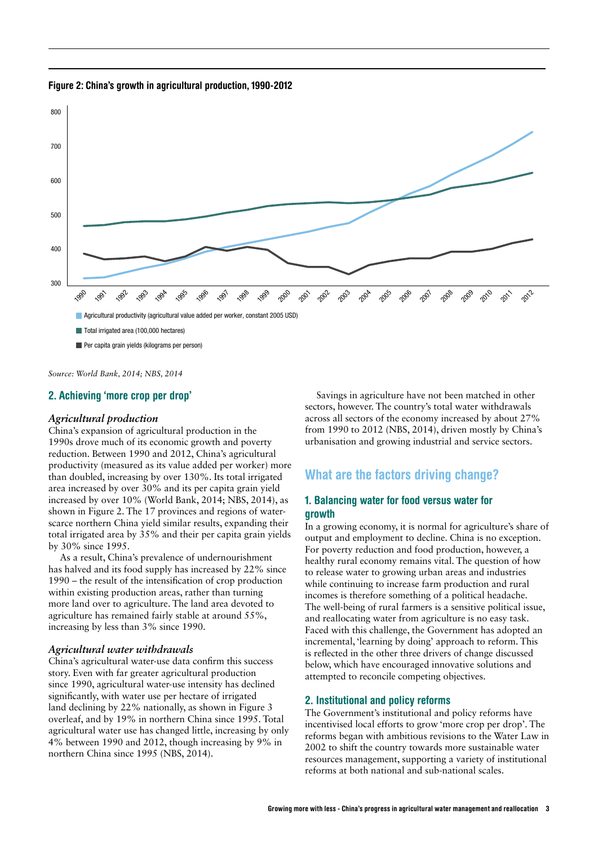Figure 2: China's growth in agricultural production, 1990-2012



*Source: World Bank, 2014; NBS, 2014*

#### 2. Achieving 'more crop per drop'

#### *Agricultural production*

China's expansion of agricultural production in the 1990s drove much of its economic growth and poverty reduction. Between 1990 and 2012, China's agricultural productivity (measured as its value added per worker) more than doubled, increasing by over 130%. Its total irrigated area increased by over 30% and its per capita grain yield increased by over 10% (World Bank, 2014; NBS, 2014), as shown in Figure 2. The 17 provinces and regions of waterscarce northern China yield similar results, expanding their total irrigated area by 35% and their per capita grain yields by 30% since 1995.

As a result, China's prevalence of undernourishment has halved and its food supply has increased by 22% since 1990 – the result of the intensification of crop production within existing production areas, rather than turning more land over to agriculture. The land area devoted to agriculture has remained fairly stable at around 55%, increasing by less than 3% since 1990.

#### *Agricultural water withdrawals*

China's agricultural water-use data confirm this success story. Even with far greater agricultural production since 1990, agricultural water-use intensity has declined significantly, with water use per hectare of irrigated land declining by 22% nationally, as shown in Figure 3 overleaf, and by 19% in northern China since 1995. Total agricultural water use has changed little, increasing by only 4% between 1990 and 2012, though increasing by 9% in northern China since 1995 (NBS, 2014).

Savings in agriculture have not been matched in other sectors, however. The country's total water withdrawals across all sectors of the economy increased by about 27% from 1990 to 2012 (NBS, 2014), driven mostly by China's urbanisation and growing industrial and service sectors.

### What are the factors driving change?

#### 1. Balancing water for food versus water for growth

In a growing economy, it is normal for agriculture's share of output and employment to decline. China is no exception. For poverty reduction and food production, however, a healthy rural economy remains vital. The question of how to release water to growing urban areas and industries while continuing to increase farm production and rural incomes is therefore something of a political headache. The well-being of rural farmers is a sensitive political issue, and reallocating water from agriculture is no easy task. Faced with this challenge, the Government has adopted an incremental, 'learning by doing' approach to reform. This is reflected in the other three drivers of change discussed below, which have encouraged innovative solutions and attempted to reconcile competing objectives.

#### 2. Institutional and policy reforms

The Government's institutional and policy reforms have incentivised local efforts to grow 'more crop per drop'. The reforms began with ambitious revisions to the Water Law in 2002 to shift the country towards more sustainable water resources management, supporting a variety of institutional reforms at both national and sub-national scales.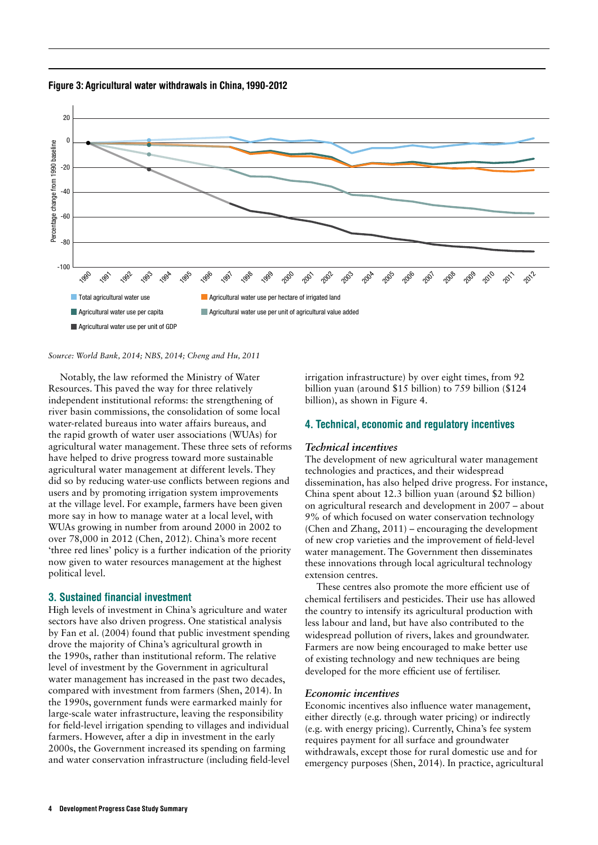



#### *Source: World Bank, 2014; NBS, 2014; Cheng and Hu, 2011*

Notably, the law reformed the Ministry of Water Resources. This paved the way for three relatively independent institutional reforms: the strengthening of river basin commissions, the consolidation of some local water-related bureaus into water affairs bureaus, and the rapid growth of water user associations (WUAs) for agricultural water management. These three sets of reforms have helped to drive progress toward more sustainable agricultural water management at different levels. They did so by reducing water-use conflicts between regions and users and by promoting irrigation system improvements at the village level. For example, farmers have been given more say in how to manage water at a local level, with WUAs growing in number from around 2000 in 2002 to over 78,000 in 2012 (Chen, 2012). China's more recent 'three red lines' policy is a further indication of the priority now given to water resources management at the highest political level.

#### 3. Sustained financial investment

High levels of investment in China's agriculture and water sectors have also driven progress. One statistical analysis by Fan et al. (2004) found that public investment spending drove the majority of China's agricultural growth in the 1990s, rather than institutional reform. The relative level of investment by the Government in agricultural water management has increased in the past two decades, compared with investment from farmers (Shen, 2014). In the 1990s, government funds were earmarked mainly for large-scale water infrastructure, leaving the responsibility for field-level irrigation spending to villages and individual farmers. However, after a dip in investment in the early 2000s, the Government increased its spending on farming and water conservation infrastructure (including field-level

irrigation infrastructure) by over eight times, from 92 billion yuan (around \$15 billion) to 759 billion (\$124 billion), as shown in Figure 4.

#### 4. Technical, economic and regulatory incentives

#### *Technical incentives*

The development of new agricultural water management technologies and practices, and their widespread dissemination, has also helped drive progress. For instance, China spent about 12.3 billion yuan (around \$2 billion) on agricultural research and development in 2007 – about 9% of which focused on water conservation technology (Chen and Zhang, 2011) – encouraging the development of new crop varieties and the improvement of field-level water management. The Government then disseminates these innovations through local agricultural technology extension centres.

These centres also promote the more efficient use of chemical fertilisers and pesticides. Their use has allowed the country to intensify its agricultural production with less labour and land, but have also contributed to the widespread pollution of rivers, lakes and groundwater. Farmers are now being encouraged to make better use of existing technology and new techniques are being developed for the more efficient use of fertiliser.

#### *Economic incentives*

Economic incentives also influence water management, either directly (e.g. through water pricing) or indirectly (e.g. with energy pricing). Currently, China's fee system requires payment for all surface and groundwater withdrawals, except those for rural domestic use and for emergency purposes (Shen, 2014). In practice, agricultural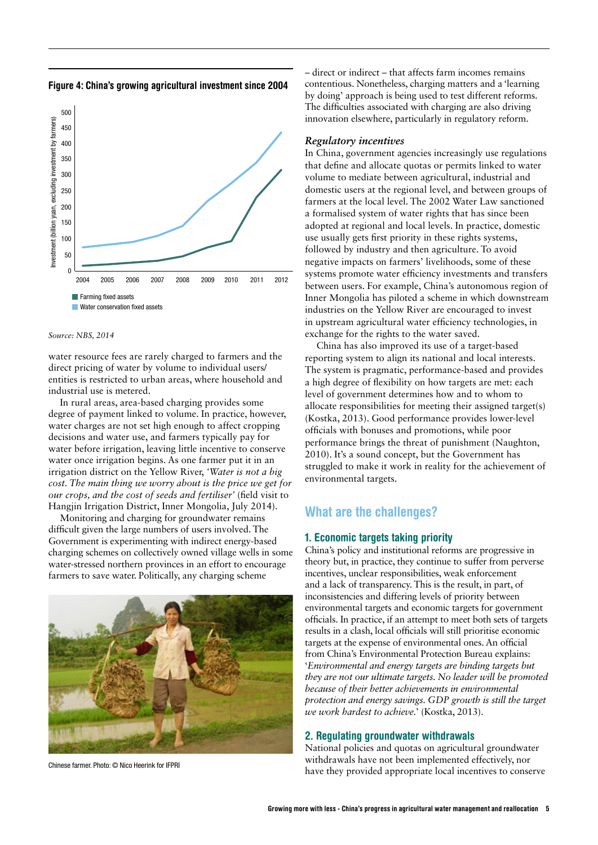Figure 4: China's growing agricultural investment since 2004



*Source: NBS, 2014*

water resource fees are rarely charged to farmers and the direct pricing of water by volume to individual users/ entities is restricted to urban areas, where household and industrial use is metered.

In rural areas, area-based charging provides some degree of payment linked to volume. In practice, however, water charges are not set high enough to affect cropping decisions and water use, and farmers typically pay for water before irrigation, leaving little incentive to conserve water once irrigation begins. As one farmer put it in an irrigation district on the Yellow River, *'Water is not a big cost. The main thing we worry about is the price we get for our crops, and the cost of seeds and fertiliser'* (field visit to Hangjin Irrigation District, Inner Mongolia, July 2014).

Monitoring and charging for groundwater remains difficult given the large numbers of users involved. The Government is experimenting with indirect energy-based charging schemes on collectively owned village wells in some water-stressed northern provinces in an effort to encourage farmers to save water. Politically, any charging scheme



Chinese farmer. Photo: © Nico Heerink for IFPRI

– direct or indirect – that affects farm incomes remains contentious. Nonetheless, charging matters and a 'learning by doing' approach is being used to test different reforms. The difficulties associated with charging are also driving innovation elsewhere, particularly in regulatory reform.

#### *Regulatory incentives*

In China, government agencies increasingly use regulations that define and allocate quotas or permits linked to water volume to mediate between agricultural, industrial and domestic users at the regional level, and between groups of farmers at the local level. The 2002 Water Law sanctioned a formalised system of water rights that has since been adopted at regional and local levels. In practice, domestic use usually gets first priority in these rights systems, followed by industry and then agriculture. To avoid negative impacts on farmers' livelihoods, some of these systems promote water efficiency investments and transfers between users. For example, China's autonomous region of Inner Mongolia has piloted a scheme in which downstream industries on the Yellow River are encouraged to invest in upstream agricultural water efficiency technologies, in exchange for the rights to the water saved.

China has also improved its use of a target-based reporting system to align its national and local interests. The system is pragmatic, performance-based and provides a high degree of flexibility on how targets are met: each level of government determines how and to whom to allocate responsibilities for meeting their assigned target(s) (Kostka, 2013). Good performance provides lower-level officials with bonuses and promotions, while poor performance brings the threat of punishment (Naughton, 2010). It's a sound concept, but the Government has struggled to make it work in reality for the achievement of environmental targets.

### What are the challenges?

#### 1. Economic targets taking priority

China's policy and institutional reforms are progressive in theory but, in practice, they continue to suffer from perverse incentives, unclear responsibilities, weak enforcement and a lack of transparency. This is the result, in part, of inconsistencies and differing levels of priority between environmental targets and economic targets for government officials. In practice, if an attempt to meet both sets of targets results in a clash, local officials will still prioritise economic targets at the expense of environmental ones. An official from China's Environmental Protection Bureau explains: '*Environmental and energy targets are binding targets but they are not our ultimate targets. No leader will be promoted because of their better achievements in environmental protection and energy savings. GDP growth is still the target we work hardest to achieve.*' (Kostka, 2013).

#### 2. Regulating groundwater withdrawals

National policies and quotas on agricultural groundwater withdrawals have not been implemented effectively, nor have they provided appropriate local incentives to conserve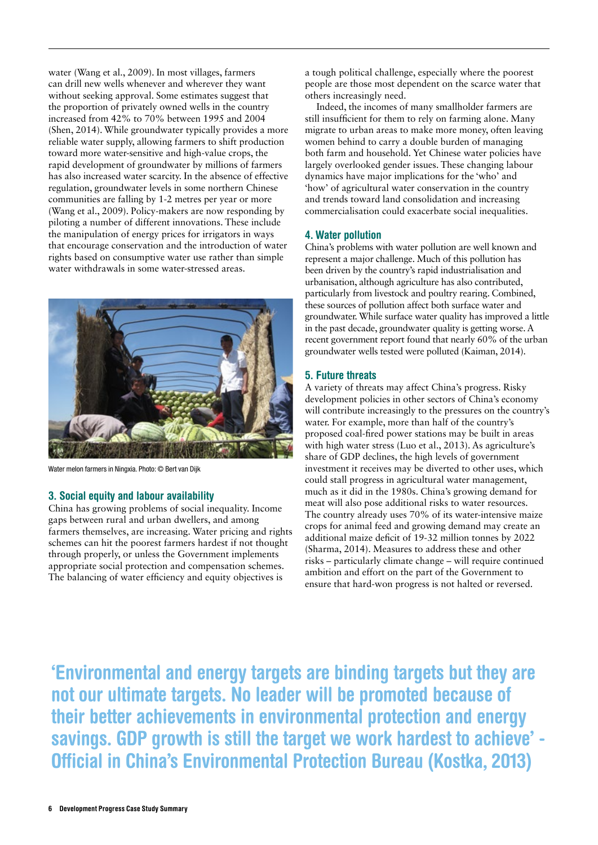water (Wang et al., 2009). In most villages, farmers can drill new wells whenever and wherever they want without seeking approval. Some estimates suggest that the proportion of privately owned wells in the country increased from 42% to 70% between 1995 and 2004 (Shen, 2014). While groundwater typically provides a more reliable water supply, allowing farmers to shift production toward more water-sensitive and high-value crops, the rapid development of groundwater by millions of farmers has also increased water scarcity. In the absence of effective regulation, groundwater levels in some northern Chinese communities are falling by 1-2 metres per year or more (Wang et al., 2009). Policy-makers are now responding by piloting a number of different innovations. These include the manipulation of energy prices for irrigators in ways that encourage conservation and the introduction of water rights based on consumptive water use rather than simple water withdrawals in some water-stressed areas.



Water melon farmers in Ningxia. Photo: © Bert van Dijk

#### 3. Social equity and labour availability

China has growing problems of social inequality. Income gaps between rural and urban dwellers, and among farmers themselves, are increasing. Water pricing and rights schemes can hit the poorest farmers hardest if not thought through properly, or unless the Government implements appropriate social protection and compensation schemes. The balancing of water efficiency and equity objectives is

a tough political challenge, especially where the poorest people are those most dependent on the scarce water that others increasingly need.

Indeed, the incomes of many smallholder farmers are still insufficient for them to rely on farming alone. Many migrate to urban areas to make more money, often leaving women behind to carry a double burden of managing both farm and household. Yet Chinese water policies have largely overlooked gender issues. These changing labour dynamics have major implications for the 'who' and 'how' of agricultural water conservation in the country and trends toward land consolidation and increasing commercialisation could exacerbate social inequalities.

#### 4. Water pollution

China's problems with water pollution are well known and represent a major challenge. Much of this pollution has been driven by the country's rapid industrialisation and urbanisation, although agriculture has also contributed, particularly from livestock and poultry rearing. Combined, these sources of pollution affect both surface water and groundwater. While surface water quality has improved a little in the past decade, groundwater quality is getting worse. A recent government report found that nearly 60% of the urban groundwater wells tested were polluted (Kaiman, 2014).

#### 5. Future threats

A variety of threats may affect China's progress. Risky development policies in other sectors of China's economy will contribute increasingly to the pressures on the country's water. For example, more than half of the country's proposed coal-fired power stations may be built in areas with high water stress (Luo et al., 2013). As agriculture's share of GDP declines, the high levels of government investment it receives may be diverted to other uses, which could stall progress in agricultural water management, much as it did in the 1980s. China's growing demand for meat will also pose additional risks to water resources. The country already uses 70% of its water-intensive maize crops for animal feed and growing demand may create an additional maize deficit of 19-32 million tonnes by 2022 (Sharma, 2014). Measures to address these and other risks – particularly climate change – will require continued ambition and effort on the part of the Government to ensure that hard-won progress is not halted or reversed.

'Environmental and energy targets are binding targets but they are not our ultimate targets. No leader will be promoted because of their better achievements in environmental protection and energy savings. GDP growth is still the target we work hardest to achieve' - Official in China's Environmental Protection Bureau (Kostka, 2013)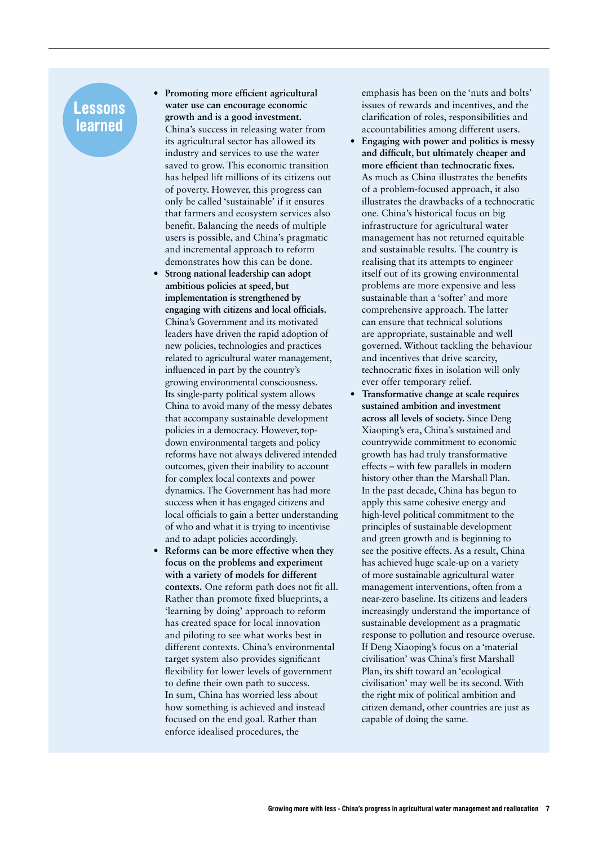## **Lessons** learned

- **• Promoting more efficient agricultural water use can encourage economic growth and is a good investment.** China's success in releasing water from its agricultural sector has allowed its industry and services to use the water saved to grow. This economic transition has helped lift millions of its citizens out of poverty. However, this progress can only be called 'sustainable' if it ensures that farmers and ecosystem services also benefit. Balancing the needs of multiple users is possible, and China's pragmatic and incremental approach to reform demonstrates how this can be done.
- **• Strong national leadership can adopt ambitious policies at speed, but implementation is strengthened by engaging with citizens and local officials.** China's Government and its motivated leaders have driven the rapid adoption of new policies, technologies and practices related to agricultural water management, influenced in part by the country's growing environmental consciousness. Its single-party political system allows China to avoid many of the messy debates that accompany sustainable development policies in a democracy. However, topdown environmental targets and policy reforms have not always delivered intended outcomes, given their inability to account for complex local contexts and power dynamics. The Government has had more success when it has engaged citizens and local officials to gain a better understanding of who and what it is trying to incentivise and to adapt policies accordingly.
- **• Reforms can be more effective when they focus on the problems and experiment with a variety of models for different contexts.** One reform path does not fit all. Rather than promote fixed blueprints, a 'learning by doing' approach to reform has created space for local innovation and piloting to see what works best in different contexts. China's environmental target system also provides significant flexibility for lower levels of government to define their own path to success. In sum, China has worried less about how something is achieved and instead focused on the end goal. Rather than enforce idealised procedures, the

emphasis has been on the 'nuts and bolts' issues of rewards and incentives, and the clarification of roles, responsibilities and accountabilities among different users.

- **• Engaging with power and politics is messy and difficult, but ultimately cheaper and more efficient than technocratic fixes.** As much as China illustrates the benefits of a problem-focused approach, it also illustrates the drawbacks of a technocratic one. China's historical focus on big infrastructure for agricultural water management has not returned equitable and sustainable results. The country is realising that its attempts to engineer itself out of its growing environmental problems are more expensive and less sustainable than a 'softer' and more comprehensive approach. The latter can ensure that technical solutions are appropriate, sustainable and well governed. Without tackling the behaviour and incentives that drive scarcity, technocratic fixes in isolation will only ever offer temporary relief.
- **Transformative change at scale requires sustained ambition and investment across all levels of society.** Since Deng Xiaoping's era, China's sustained and countrywide commitment to economic growth has had truly transformative effects – with few parallels in modern history other than the Marshall Plan. In the past decade, China has begun to apply this same cohesive energy and high-level political commitment to the principles of sustainable development and green growth and is beginning to see the positive effects. As a result, China has achieved huge scale-up on a variety of more sustainable agricultural water management interventions, often from a near-zero baseline. Its citizens and leaders increasingly understand the importance of sustainable development as a pragmatic response to pollution and resource overuse. If Deng Xiaoping's focus on a 'material civilisation' was China's first Marshall Plan, its shift toward an 'ecological civilisation' may well be its second. With the right mix of political ambition and citizen demand, other countries are just as capable of doing the same.